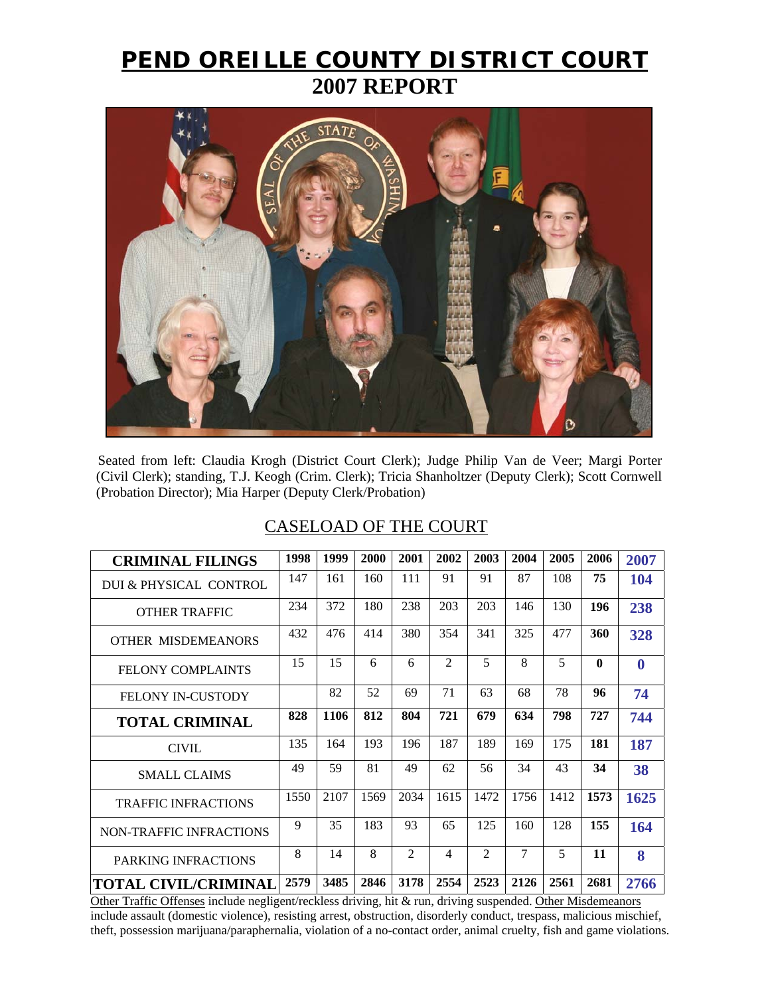## **PEND OREILLE COUNTY DISTRICT COURT 2007 REPORT**



Seated from left: Claudia Krogh (District Court Clerk); Judge Philip Van de Veer; Margi Porter (Civil Clerk); standing, T.J. Keogh (Crim. Clerk); Tricia Shanholtzer (Deputy Clerk); Scott Cornwell (Probation Director); Mia Harper (Deputy Clerk/Probation)

## CASELOAD OF THE COURT

| <b>CRIMINAL FILINGS</b>        | 1998 | 1999 | 2000 | 2001 | 2002           | 2003           | 2004           | 2005 | 2006         | 2007     |
|--------------------------------|------|------|------|------|----------------|----------------|----------------|------|--------------|----------|
| DUI & PHYSICAL CONTROL         | 147  | 161  | 160  | 111  | 91             | 91             | 87             | 108  | 75           | 104      |
| <b>OTHER TRAFFIC</b>           | 234  | 372  | 180  | 238  | 203            | 203            | 146            | 130  | 196          | 238      |
| <b>OTHER MISDEMEANORS</b>      | 432  | 476  | 414  | 380  | 354            | 341            | 325            | 477  | 360          | 328      |
| <b>FELONY COMPLAINTS</b>       | 15   | 15   | 6    | 6    | 2              | 5              | 8              | 5    | $\mathbf{0}$ | $\bf{0}$ |
| <b>FELONY IN-CUSTODY</b>       |      | 82   | 52   | 69   | 71             | 63             | 68             | 78   | 96           | 74       |
| <b>TOTAL CRIMINAL</b>          | 828  | 1106 | 812  | 804  | 721            | 679            | 634            | 798  | 727          | 744      |
| <b>CIVIL</b>                   | 135  | 164  | 193  | 196  | 187            | 189            | 169            | 175  | 181          | 187      |
| <b>SMALL CLAIMS</b>            | 49   | 59   | 81   | 49   | 62             | 56             | 34             | 43   | 34           | 38       |
| <b>TRAFFIC INFRACTIONS</b>     | 1550 | 2107 | 1569 | 2034 | 1615           | 1472           | 1756           | 1412 | 1573         | 1625     |
| <b>NON-TRAFFIC INFRACTIONS</b> | 9    | 35   | 183  | 93   | 65             | 125            | 160            | 128  | 155          | 164      |
| PARKING INFRACTIONS            | 8    | 14   | 8    | 2    | $\overline{4}$ | $\overline{2}$ | $\overline{7}$ | 5    | 11           | 8        |
| <b>TOTAL CIVIL/CRIMINAL</b>    | 2579 | 3485 | 2846 | 3178 | 2554           | 2523           | 2126           | 2561 | 2681         | 2766     |

Other Traffic Offenses include negligent/reckless driving, hit & run, driving suspended. Other Misdemeanors include assault (domestic violence), resisting arrest, obstruction, disorderly conduct, trespass, malicious mischief, theft, possession marijuana/paraphernalia, violation of a no-contact order, animal cruelty, fish and game violations.